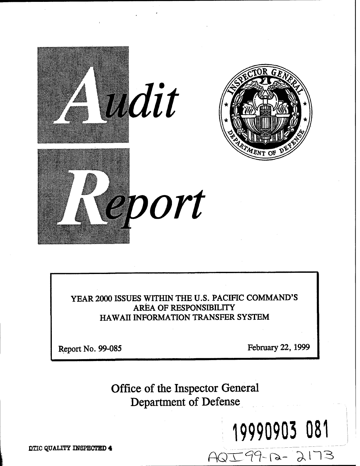

**YEAR 2000 ISSUES WITHIN THE U.S.PACIFIC COMMAND'S AREA OF RESPONSIBILITY HAWAII INFORMATION TRANSFER SYSTEM** 

**Report No. 99-085 February 22, 1999** 

19990903 081

AQI99-12-2173

**Office of the Inspector General Department of Defense** 

**DTIC QUALITY INSPECTED 4**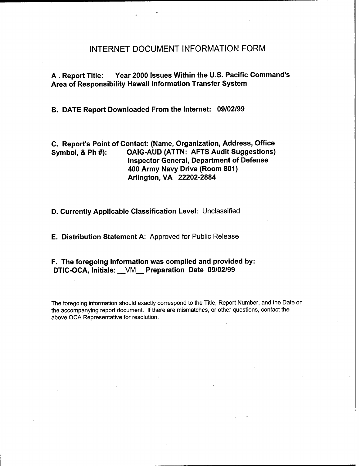#### INTERNET DOCUMENT INFORMATION FORM

A .Report Title: Year **2000** Issues Within the U.S. Pacific Command's Area of Responsibility Hawaii Information Transfer System

B. DATE Report Downloaded From the Internet: **09/02/99** 

C. Report's Point of Contact: (Name, Organization, Address, Office Symbol, & Ph #): OAIG-AUD (ATTN: AFTS Audit Suggestions) Inspector General, Department of Defense **400** Army Navy Drive (Room **801)**  Arlington, VA **22202-2884** 

D. Currently Applicable Classification Level: Unclassified

E. Distribution Statement A: Approved for Public Release

F. The foregoing information was compiled and provided by: DTIC-OCA, Initials: -VM Preparation Date **09/02/99** 

The foregoing information should exactly correspond to the Title, Report Number, and the Date on the accompanying report document. If there are mismatches, or other questions, contact the above OCA Representative for resolution.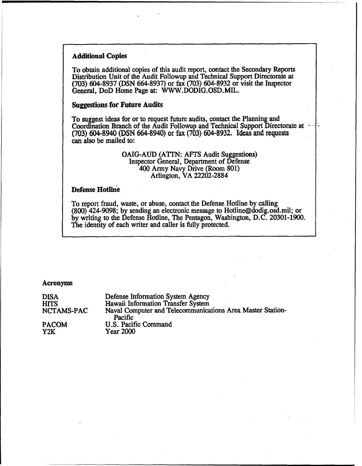#### **Additional Copies**

To obtain additional copies of this audit report, contact the Secondary Reports Distribution Unit of the Audit Followup and Technical Support Directorate at (703) 604-8937 (DSN 664-8937) or fax (703) 604-8932 or visit the Inspector General, DoD Home Page at: **WWW,**DODIG. OSD. **MIL.** 

#### **Suggestions for Future Audits**

To suggest ideas for or to request future audits, contact the Planning and Coordination Branch of the Audit Followup and Technical Support Directorate at (703) **604-8940 (DSN 664-8940) or fax (703) 604-8932, Ideas and requests**  can also be mailed to:

#### OAIG-AUD (ATTN: AFTS Audit Suggestions) Inspector General, Department of Defense 400 Army Navy Drive (Room 801) Arlington, VA 22202-2884

#### **Defense Hotline**

To report fraud, waste, or abuse, contact the Defense Hotline by calling (800) 424-9098; by sending an electronic message to Hotline@dodig.osd.mil; or by writing to the Defense Hotline, The Pentagon, Washington, D.C. 20301-1900. The identity of each writer and caller is fully protected.

#### **Acronyms**

| <b>DISA</b>  | Defense Information System Agency                                     |
|--------------|-----------------------------------------------------------------------|
| HITS         | Hawaii Information Transfer System                                    |
| NCTAMS-PAC   | Naval Computer and Telecommunications Area Master Station-<br>Pacific |
| <b>PACOM</b> | U.S. Pacific Command                                                  |
| Y2K          | <b>Year 2000</b>                                                      |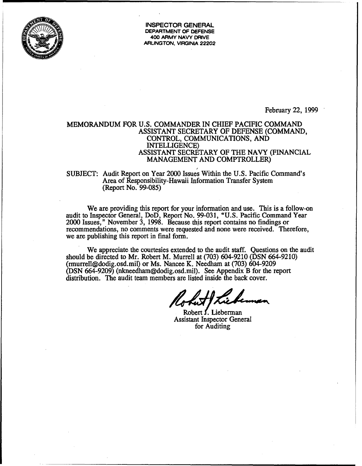

**INSPECTOR GENERAL DEPARTMENT OF DEFENSE 400 ARMY NAVY DRIVE ARLINGTON, VIRGINIA 22202** 

February 22, 1999

#### MEMORANDUM FOR U.S. COMMANDER IN CHIEF PACIFIC COMMAND ASSISTANT SECRETARY OF DEFENSE (COMMAND, CONTROL, COMMUNICATIONS, AND INTELLIGENCE) ASSISTANT SECRETARY OF THE NAVY (FINANCIAL MANAGEMENT AND COMPTROLLER)

# SUBJECT: Audit Report on Year 2000 Issues Within the U.S. Pacific Command's Area of Responsibility-Hawaii Information Transfer System (Report No. 99-085)

We are providing this report for your information and use. This is a follow-on audit to Inspector General, DoD, Report No. 99-03 1, "U.S. Pacific Command Year 2000 Issues," November 3, 1998. Because this report contains no findings or recommendations, no comments were requested and none were received. Therefore, we are publishing this report in final form.

We appreciate the courtesies extended to the audit staff. Questions on the audit should be directed to Mr. Robert M. Murrell at (703) 604-9210 (DSN 664-9210) (rmurrell@dodig.osd.mil) or Ms. Nancee K. Needham at (703) 604-9209 (DSN 664-9209) **(nkneedham@dodig.osd.mil).** See Appendix B for the report distribution. The audit team members are listed inside the back cover.

Robert **f.** Lieberman Assistant Inspector General for Auditing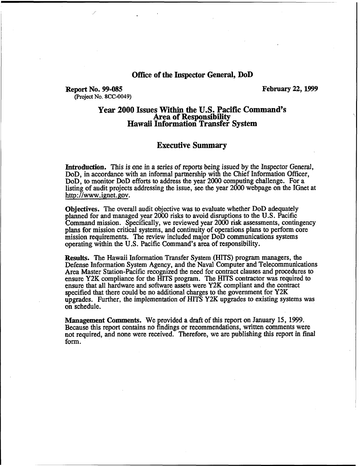#### **Office of the Inspector General, DoD**

#### **Report No. 99-085 February 22,1999 (Project No.8CC-0049)**

# **Year 2000 Issues Within the U.S. Pacific Command's Hawaii Information Transfer System**

#### **Executive Summary**

Introduction. This is one in a series of reports being issued by the Inspector General, DoD, in accordance with an informal partnership with the Chief Information Officer, DoD, to monitor DoD efforts to address the year 2000 computing challenge. For a listing of audit projects addressing the issue, see the year 2000 webpage on the IGnet at http://www. ignet. gov.

**Objectives.** The overall audit objective was to evaluate whether DoD adequately planned for and managed year 2000 risks to avoid disruptions to the U.S. Pacific Command mission. Specifically, we reviewed year 2000 risk assessments, contingency plans for mission critical systems, and continuity of operations plans to perform core mission requirements. The review included major DoD communications systems operating within the **U.S.** Pacific Command's area of responsibility.

Results. The Hawaii Information Transfer System (HITS) program managers, the Defense Information System Agency, and the Naval Computer and Telecommunications Area Master Station-Pacific recognized the need for contract clauses and procedures to ensure Y2K compliance for the HITS program. The HITS contractor was required to ensure that all hardware and software assets were Y2K compliant and the contract specified that there could be no additional charges to the government for Y2K upgrades. Further, the implementation of HITS Y2K upgrades to existing systems was on schedule.

**Management Comments.** We provided a draft of this report on January 15, 1999. Because this report contains no findings or recommendations, written comments were not required, and none were received. Therefore, we are publishing this report in final form.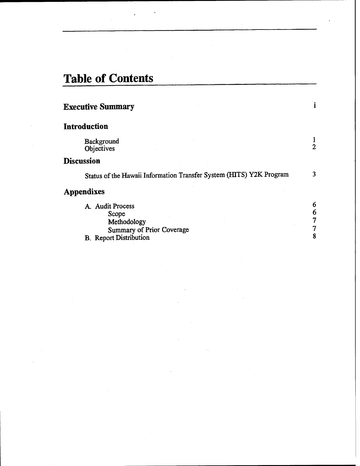# **Table of Contents**

 $\sim$ 

| <b>Executive Summary</b>                                                                                      |                |
|---------------------------------------------------------------------------------------------------------------|----------------|
| Introduction                                                                                                  |                |
| Background<br>Objectives                                                                                      | $\overline{2}$ |
| Discussion                                                                                                    |                |
| Status of the Hawaii Information Transfer System (HITS) Y2K Program                                           |                |
| <b>Appendixes</b>                                                                                             |                |
| A. Audit Process<br>Scope<br>Methodology<br><b>Summary of Prior Coverage</b><br><b>B.</b> Report Distribution | 6              |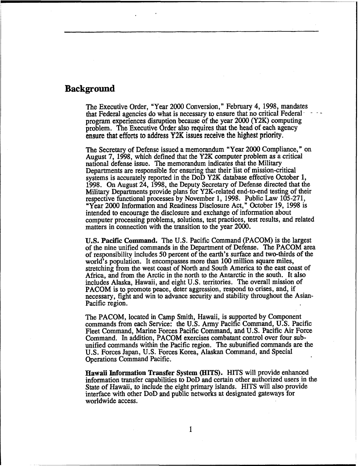### **Background**

The Executive Order, "Year 2000 Conversion," February 4, 1998, mandates that Federal agencies do what is necessary to ensure that no critical Federal program experiences disruption because of the year 2000 **(Y2K)**computing problem. The Executive Order also requires that the head of each agency **ensure that efforts to address Y2K issues receive the highest priority.** 

The Secretary of Defense issued a memorandum "Year 2000 Compliance," on August 7, 1998, which defined that the Y2K computer problem as a critical national defense issue. The memorandum indicates that the Military Departments are responsible for ensuring that their list of mission-critical systems is accurately reported in the DoD Y2K database effective October 1, 1998. On August 24, 1998, the Deputy Secretary of Defense directed that the Military Departments provide plans for Y2K-related end-to-end testing of their respective functional processes by November 1, 1998. Public **Law** 105-271, "Year 2000 Information and Readiness Disclosure Act," October 19, 1998 is intended to encourage the disclosure and exchange of information about computer processing problems, solutions, test practices, test results, and related matters in connection with the transition to the year 2000.

U.S. Pacific Command. The U.S. Pacific Command (PACOM) is the largest of the nine unified commands in the Department of Defense. The PACOM area of responsibility includes 50 percent of the earth's surface and two-thirds of the world's population. It encompasses more than 100 million square miles, stretching from the west coast of North and South America to the east coast of Africa, and from the Arctic in the north to the Antarctic in the south. It also includes Alaska, Hawaii, and eight U.S. territories. The overall mission of PACOM is to promote peace, deter aggression, respond to crises, and, if necessary, fight and win to advance security and stability throughout the Asian-Pacific region.

The PACOM, located in Camp Smith, Hawaii, is supported by Component commands from each Service: the U.S. Army Pacific Command, U.S. Pacific Fleet Command, Marine Forces Pacific Command, and **U.S.**Pacific Air Force Command. In addition, PACOM exercises combatant control over four subunified commands within the Pacific region. The subunified commands are the U.S. Forces Japan, U. S. Forces Korea, Alaskan Command, and Special Operations Command Pacific.

**Hawaii Information** Transfer System **(HITS).** HITS will provide enhanced information transfer capabilities to DoD and certain other authorized users in the State of Hawaii, to include the eight primary islands. HITS will also provide interface with other DoD **and** public networks at designated gateways for worldwide access.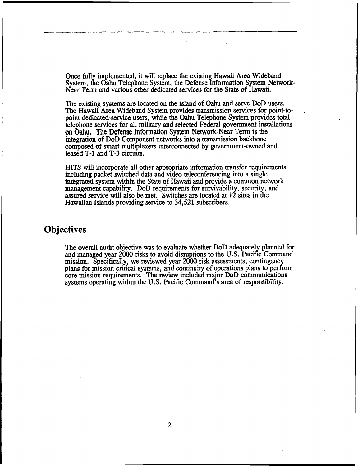Once fully implemented, it will replace the existing Hawaii Area Wideband System, the Oahu Telephone System, the Defense Information System Network-Near Term and various other dedicated services for the **State** of Hawaii.

The existing systems are located on the island of Oahu and serve DoD users. The Hawaii Area Wideband System provides transmission services for point-to- . point dedicated-service users, while the Oahu Telephone System provides total telephone services for all military and selected Federal government installations on Oahu. The Defense Information System Network-Near Term is the integration of DoD Component networks into a transmission backbone composed of smart multiplexers interconnected by government-owned and leased T-1 and **T-3**circuits.

HITS will incorporate all other appropriate information transfer requirements including packet switched data and video teleconferencing into a single integrated system within the State of Hawaii and provide a common network management capability. DoD requirements for survivability, security, and assured service will also be met. Switches are located at 12 sites in the Hawaiian Islands providing service to 34,521 subscribers.

### **Objectives**

The overall audit objective was to evaluate whether DoD adequately planned for and managed year 2000 risks to avoid disruptions to the **U.S.** Pacific Command mission. Specifically, we reviewed year 2000 risk assessments, contingency plans for mission critical systems, and continuity of operations plans to perform core mission requirements. The review included major DoD communications systems operating within the U.S. Pacific Command's area of responsibility.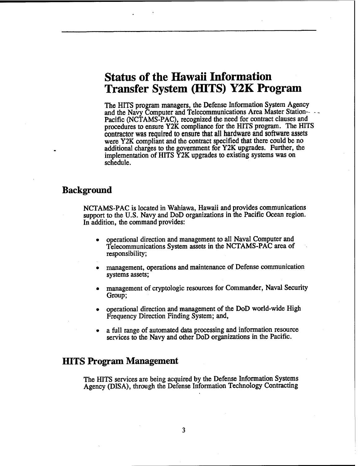# **Status of the Hawaii Information Transfer System (HITS) Y2K Program**

The HITS program managers, the Defense Information System Agency and the Navy Computer and Telecommunications Area Master Station--<br>Pacific (NCTAMS-PAC), recognized the need for contract clauses and procedures to ensure **Y2K** compliance for the HITS program. The HITS **contractor was required to ensure that all hardware and software assets**  were **Y2K** compliant and the contract specified that there could be no additional charges to the government for **Y2K** upgrades. Further, the implementation of HITS **Y2K** upgrades to existing systems was on schedule.

#### **Background**

NCTAMS-PAC is located in Wahiawa, Hawaii and provides communications support to the U.S. Navy and DoD organizations in the Pacific Ocean region. In addition, the command provides:

- operational direction and management to all Naval Computer and Telecommunications System assets in the NCTAMS-PAC area of responsibility;
- management, operations and maintenance of Defense communication systems assets;
- management of cryptologic resources for Commander, Naval Security Group;
- operational direction and management of the DoD world-wide High Frequency Direction Finding System; and,
- a full range of automated data processing and information resource services to the Navy and other DoD organizations in the Pacific.

#### **HITSProgram Management**

The HITS services are being acquired by the Defense Information Systems Agency (DISA), through the Defense Information Technology Contracting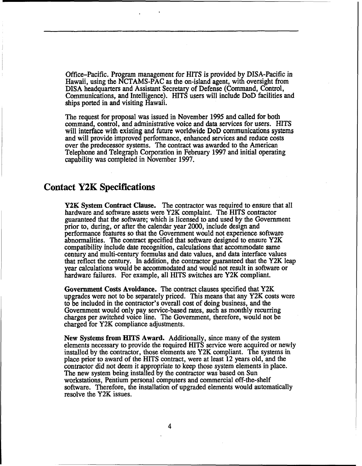Office-Pacific. Program management for HITS is provided by DISA-Pacific in Hawaii, using the NCTAMS-PAC as the on-island agent, with oversight from DISA headquarters and Assistant Secretary of Defense (Command, Control, Communications, and Intelligence). HITS users will include DoD facilities and ships ported in and visiting Hawaii.

The request for proposal was issued in November **1995** and called for both command, control, and administrative voice and data services for users. HITS will interface with existing and future worldwide **DoD** communications systems and will provide improved performance, enhanced services and reduce costs over the predecessor systems. The contract was awarded to the American Telephone and Telegraph Corporation in February **1997** and initial operating capability was completed in November **1997.** 

### **Contact Y2K Specifications**

**Y2K System Contract Clause.** The contractor was required to ensure that all hardware and software assets were **Y2K** complaint. The HITS contractor guaranteed that the software; which is licensed to and used by the Government prior to, during, or after the calendar year 2000, include design and performance features so that the Government would not experience software abnormalities. The contract specified that software designed to ensure Y2K compatibility include date recognition, calcuIations that accommodate same century and multi-century formulas and date values, and data interface values that reflect the century. In addition, the contractor guaranteed that the **Y2K** leap year calculations would be accommodated and would not result in software or hardware failures. For example, all HITS switches are **Y2K** compliant.

**Government Costs Avoidance.** The contract clauses specified that **Y2K**  upgrades were not to be separately priced. This means that any **Y2K** costs were to be included in the contractor's overall cost of doing business, and the Government would only pay service-based rates, such as monthly recurring charges per switched voice line. The Government, therefore, would not be charged for **Y2K** compliance adjustments.

New Systems from HITS Award. Additionally, since many of the system elements necessary to provide the required HITS service were acquired or newly installed by the contractor, those elements are Y2K compliant. The systems in place prior to award of the HITS contract, were at least 12 years old, and the contractor did not deem it appropriate to keep those system elements in place. The new system being installed by the contractor was based on Sun workstations, Pentium personal computers and commercial off-the-shelf software. Therefore, the installation of upgraded elements would automatically resolve the **Y2K** issues.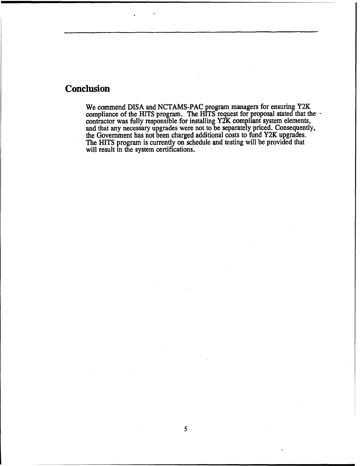## **Conclusion**

We commend DISA and NCTAMS-PAC program managers for ensuring Y2K compliance of the HITS program. The HITS request for proposal stated that the contractor was fully responsible for installing Y2K compliant system elements, and that any necessary upgrades were not to be separately priced. ConsequentIy, the Government **has** not been charged additional costs to **fund** Y2K upgrades. The HITS program is currently on schedule and testing will be provided that will result in the system certifications.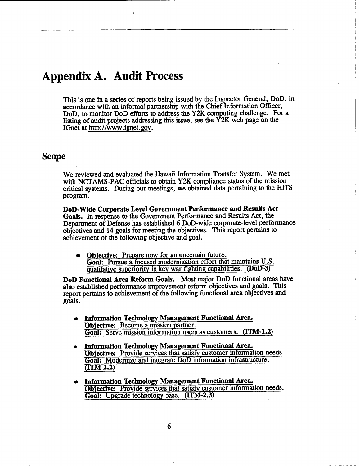# **Appendix A. Audit Process**

This is one in a series of reports being issued by the Inspector General, DoD, in accordance with an informal partnership with the Chief Information Officer, DoD, to monitor DoD efforts to address the Y2K computing challenge. For a listing of audit projects addressing this issue, see the Y2K web page on the IGnet at http://www.ignet.gov.

### **Scope**

We reviewed and evaluated the Hawaii Information Transfer System. We met with NCTAMS-PAC officials to obtain **Y2K** compliance status of the mission critical systems. During our meetings, we obtained data pertaining to the **HITS**  program.

**DoD-Wide Corporate Level Government Performance and Results Act Goals.** In response to the Government Performance and Results Act, the Department of Defense has established 6 DoD-wide corporate-level performance objectives and 14 goals for meeting the objectives. This report pertains to achievement of the following objective and goal.

**Objective:** Prepare now for an uncertain future. **Goal:** Pursue a focused modernization effort that maintains U.S. qualitative superiority in key war fighting capabilities. **(DoD-3)** 

**DoD Functional Area Reform Goals.** Most major DoD functional areas have also established performance improvement refom objectives and goals. This report pertains to achievement of the following functional area objectives and goals.

- **Information Technology Management Functional Area. Objective:** Become a mission partner. **Goal:** Serve mission information users as customers. **(ITM-1.2)**
- **Information Technology Management Functional Area. Objective:** Provide services that satisfy customer information needs. **Goal:** Modernize and integrate DoD information infrastructure. **?ITM-2.2)**
- **Information Technology Management Functional Area, objective:** Provide services that satisfy customer information needs. Goal: Upgrade technology base. (ITM-2.3)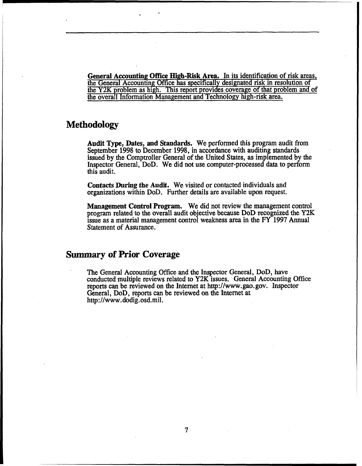**General Accounting Office High-Risk Area.** In its identification of risk areas, the General Accounting Office has specifically designated risk in resolution of the Y2K problem as high. This report provides coverage of that problem and'of the overall Information Management and Technology high-risk area.

### **Methodology**

**Audit Type, Dates, and Standards.** We performed this program audit from September 1998 to December 1998, in accordance with auditing standards issued by the Comptroller General of the United States, as implemented by the Inspector General, DoD. We did not use computer-processed data to perform this audit.

**Contacts During the Audit. We** visited or contacted individuals and organizations within DoD. Further details are available upon request.

**Management Control Program.** We did not review the management control program related to the overall audit objective because DoD recognized the Y2K issue **as** a material management control weakness area in the **FY** 1997 Annual Statement of Assurance.

### **Summary of Prior Coverage**

The General Accounting Office and the Inspector General, DoD, have conducted multiple reviews related to Y2K issues. General Accounting Office reports can be reviewed on the Internet at http://www.gao.gov. Inspector General, DoD, reports can be reviewed on the Internet at http://www. dodig.osd.mil.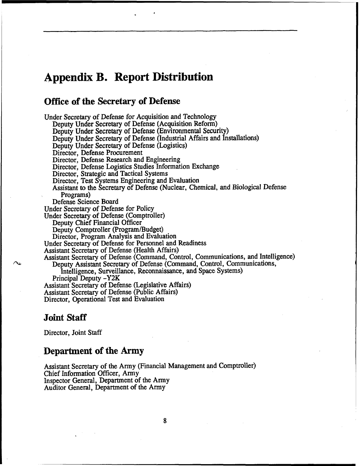# **Appendix B. Report Distribution**

### **Office of the Secretary of Defense**

Under Secretary of Defense for Acquisition and Technology Deputy Under Secretary of Defense (Acquisition Reform) Deputy Under Secretary of Defense (Environmental Security) Deputy Under Secretary of Defense (Industrial Affairs and Installations) Deputy Under Secretary of Defense (Logistics) Director, Defense Procurement Director, Defense Research and Engineering Director, Defense Logistics Studies Information Exchange Director, Strategic and Tactical Systems Director, Test Systems Engineering and Evaluation Assistant to the Secretary of Defense (Nuclear, Chemical, and Biological Defense Programs) Defense Science Board Under Secretary of Defense for Policy Under Secretary of Defense (Comptroller) Deputy Chief Financial Officer<br>Deputy Comptroller (Program/Budget) Director, Program Analysis and Evaluation Under Secretary of Defense for Personnel and Readiness Assistant Secretary of Defense (Health Affairs) Assistant Secretary of Defense (Command, Control, Communications, and Intelligence) Deputy Assistant Secretary of Defense (Command, Control, Communications, Intelligence, Surveillance, Reconnaissance, and Space Systems) Principal Deputy **-Y2K**  Assistant Secretary of Defense (Legislative Affairs) Assistant Secretary of Defense (Public Affairs) Director, Operational Test and Evaluation

#### **Joint Staff**

Director, Joint Staff

#### **Department of the Army**

Assistant Secretary of the Army (Financial Management and Comptroller) Chief Information Officer, Army Inspector General, Department of the Army Auditor General, Department of the Army

8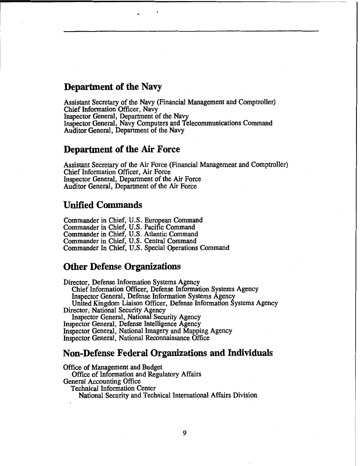#### **Department of the Navy**

Assistant Secretary of the Navy (Financial Management and Comptroller) Chief Information Officer, Navy Inspector General, Department of the Navy Inspector General, Navy Computers and Telecommunications Command Auditor General, Department of the Navy

#### **Department of the Air Force**

Assistant Secretary of the Air Force (Financial Management and Comptroller) Chief Information Officer, Air Force Inspector General, Department of the Air Force Auditor General, Department of the Air Force

### **Unified Commands**

Commander in Chief, U.S. European Command Commander in Chief, U.S. Pacific Command Commander in Chief, **U.S.** Atlantic Command Commander in Chief, U.S. Central Command Commander In Chief, U.S. Special Operations Command

#### **Other Defense Organizations**

Director, Defense Information Systems Agency Chief Information Officer, Defense Information Systems Agency United Kingdom Liaison Officer, Defense Information Systems Agency Director, National Security Agency Inspector General, National Security Agency Inspector General, Defense Intelligence Agency Inspector General, National Imagery and Mapping Agency Inspector General, National Reconnaissance Office

### **Non-Defense Federal Organizations and Individuals**

Office of Management and Budget Office of Information and Regulatory Affairs General Accounting Office Technical Information Center National Security and Technical International Affairs Division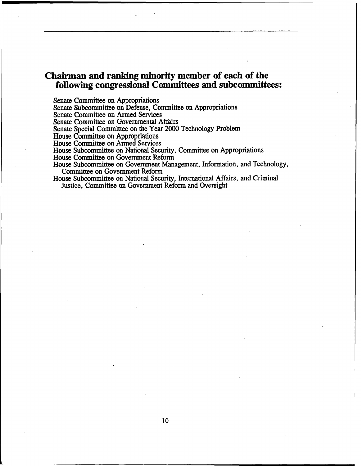### **Chairman and ranking minority member of each of the fo110wing congressional Committees and subcommittees:**

Senate Committee on Appropriations

Senate Subcommittee on Defense, Committee on Appropriations

Senate Committee on Armed Services

Senate Committee on Governmental Affairs

Senate Special Committee on the Year 2000 Technology Problem<br>House Committee on Appropriations

House Committee on Armed Services

House Subcommittee on National Security, Committee on Appropriations

House Committee on Government Reform

House Subcommittee on Government Management, Information, and Technology, Committee on Government Reform

House Subcommittee on National Security, International Affairs, and Criminal Justice, Committee on Government Reform and Oversight